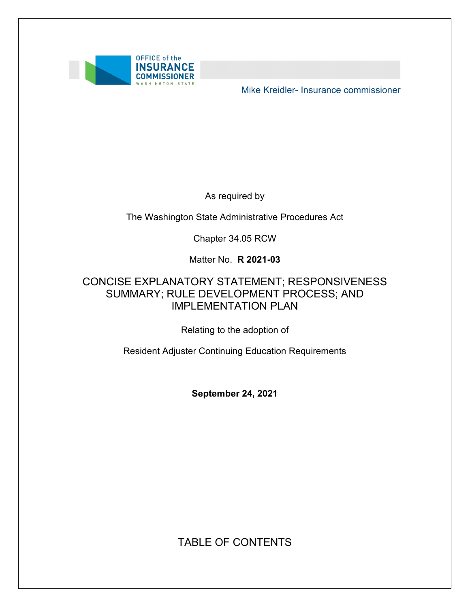

Mike Kreidler- Insurance commissioner

As required by

The Washington State Administrative Procedures Act

Chapter 34.05 RCW

Matter No. **R 2021-03** 

### SUMMARY; RULE DEVELOPMENT PROCESS; AND CONCISE EXPLANATORY STATEMENT; RESPONSIVENESS IMPLEMENTATION PLAN

Relating to the adoption of

Resident Adjuster Continuing Education Requirements

**September 24, 2021** 

TABLE OF CONTENTS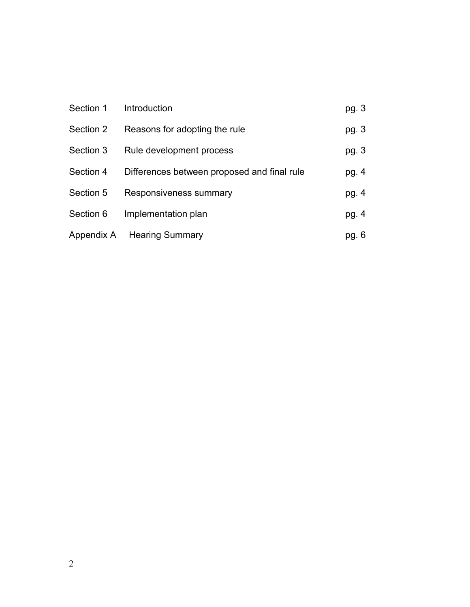| Section 1  | Introduction                                | pg. 3 |
|------------|---------------------------------------------|-------|
| Section 2  | Reasons for adopting the rule               | pg. 3 |
| Section 3  | Rule development process                    | pg. 3 |
| Section 4  | Differences between proposed and final rule | pg. 4 |
| Section 5  | Responsiveness summary                      | pg. 4 |
| Section 6  | Implementation plan                         | pg. 4 |
| Appendix A | <b>Hearing Summary</b>                      | pg. 6 |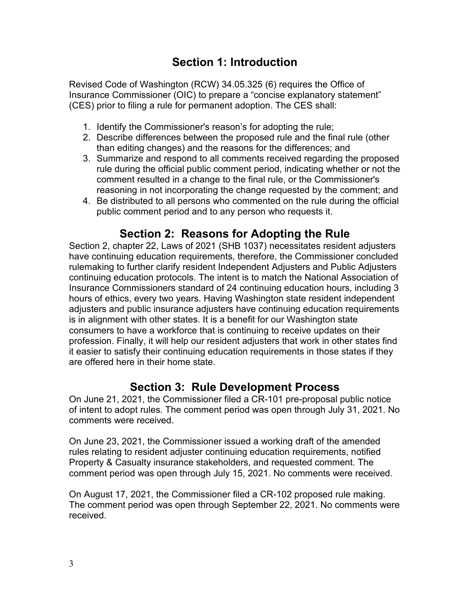# **Section 1: Introduction**

 Revised Code of Washington (RCW) 34.05.325 (6) requires the Office of (CES) prior to filing a rule for permanent adoption. The CES shall: Insurance Commissioner (OIC) to prepare a "concise explanatory statement"

- 1. Identify the Commissioner's reason's for adopting the rule;
- 2. Describe differences between the proposed rule and the final rule (other than editing changes) and the reasons for the differences; and
- 3. Summarize and respond to all comments received regarding the proposed rule during the official public comment period, indicating whether or not the comment resulted in a change to the final rule, or the Commissioner's reasoning in not incorporating the change requested by the comment; and
- 4. Be distributed to all persons who commented on the rule during the official public comment period and to any person who requests it.

## **Section 2: Reasons for Adopting the Rule**

 Section 2, chapter 22, Laws of 2021 (SHB 1037) necessitates resident adjusters have continuing education requirements, therefore, the Commissioner concluded rulemaking to further clarify resident Independent Adjusters and Public Adjusters continuing education protocols. The intent is to match the National Association of Insurance Commissioners standard of 24 continuing education hours, including 3 hours of ethics, every two years. Having Washington state resident independent adjusters and public insurance adjusters have continuing education requirements is in alignment with other states. It is a benefit for our Washington state consumers to have a workforce that is continuing to receive updates on their profession. Finally, it will help our resident adjusters that work in other states find it easier to satisfy their continuing education requirements in those states if they are offered here in their home state.

### **Section 3: Rule Development Process**

On June 21, 2021, the Commissioner filed a CR-101 pre-proposal public notice of intent to adopt rules. The comment period was open through July 31, 2021. No comments were received.

On June 23, 2021, the Commissioner issued a working draft of the amended rules relating to resident adjuster continuing education requirements, notified Property & Casualty insurance stakeholders, and requested comment. The comment period was open through July 15, 2021. No comments were received.

On August 17, 2021, the Commissioner filed a CR-102 proposed rule making. The comment period was open through September 22, 2021. No comments were received.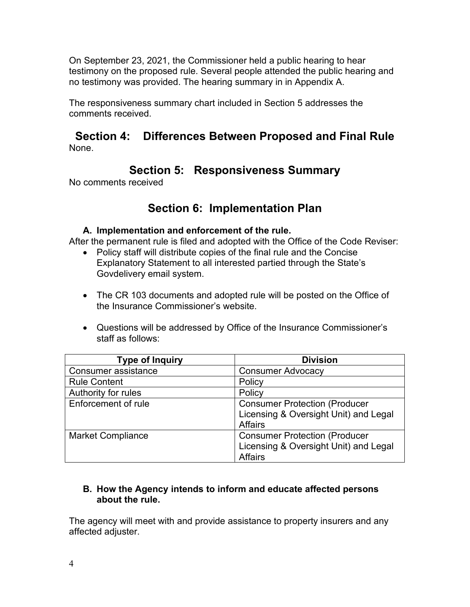On September 23, 2021, the Commissioner held a public hearing to hear testimony on the proposed rule. Several people attended the public hearing and no testimony was provided. The hearing summary in in Appendix A.

The responsiveness summary chart included in Section 5 addresses the comments received.

### **Section 4: Differences Between Proposed and Final Rule**  None.

## **Section 5: Responsiveness Summary**

No comments received

## **Section 6: Implementation Plan**

### **A. Implementation and enforcement of the rule.**

After the permanent rule is filed and adopted with the Office of the Code Reviser:

- Policy staff will distribute copies of the final rule and the Concise Explanatory Statement to all interested partied through the State's Govdelivery email system.
- The CR 103 documents and adopted rule will be posted on the Office of the Insurance Commissioner's website.
- Questions will be addressed by Office of the Insurance Commissioner's staff as follows:

| <b>Type of Inquiry</b>   | <b>Division</b>                                                                                 |
|--------------------------|-------------------------------------------------------------------------------------------------|
| Consumer assistance      | <b>Consumer Advocacy</b>                                                                        |
| <b>Rule Content</b>      | Policy                                                                                          |
| Authority for rules      | Policy                                                                                          |
| Enforcement of rule      | <b>Consumer Protection (Producer</b><br>Licensing & Oversight Unit) and Legal<br><b>Affairs</b> |
| <b>Market Compliance</b> | <b>Consumer Protection (Producer</b><br>Licensing & Oversight Unit) and Legal<br><b>Affairs</b> |

### **B. How the Agency intends to inform and educate affected persons about the rule.**

The agency will meet with and provide assistance to property insurers and any affected adjuster.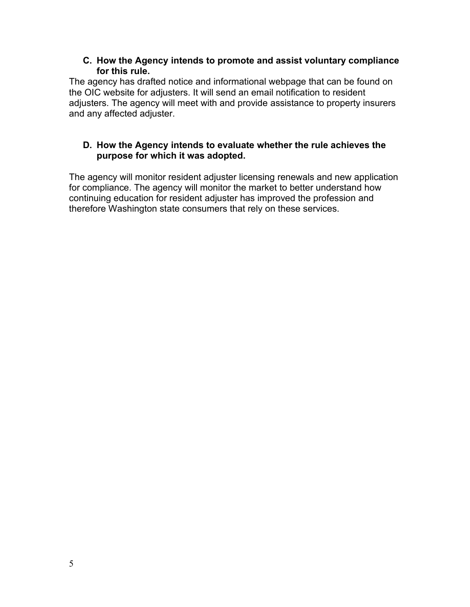#### **C. How the Agency intends to promote and assist voluntary compliance for this rule.**

The agency has drafted notice and informational webpage that can be found on the OIC website for adjusters. It will send an email notification to resident adjusters. The agency will meet with and provide assistance to property insurers and any affected adjuster.

#### **D. How the Agency intends to evaluate whether the rule achieves the purpose for which it was adopted.**

The agency will monitor resident adjuster licensing renewals and new application for compliance. The agency will monitor the market to better understand how continuing education for resident adjuster has improved the profession and therefore Washington state consumers that rely on these services.